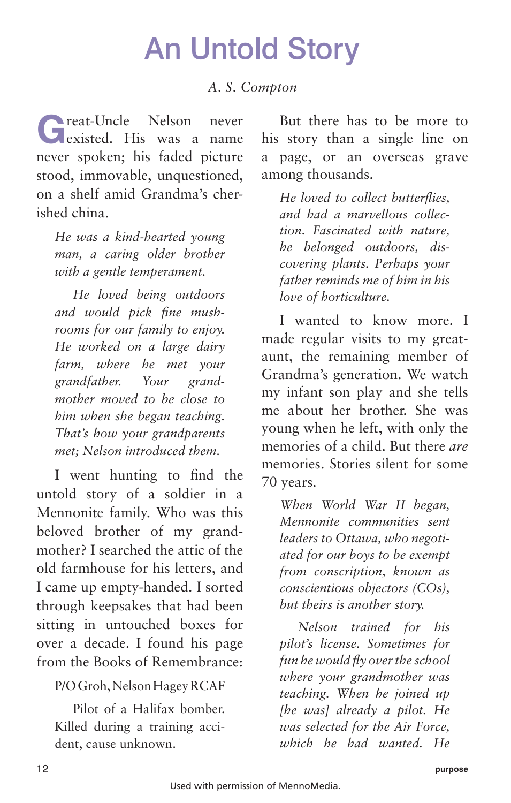## An Untold Story

## *A. S. Compton*

**G**reat-Uncle Nelson never existed. His was a name never spoken; his faded picture stood, immovable, unquestioned, on a shelf amid Grandma's cherished china.

*He was a kind-hearted young man, a caring older brother with a gentle temperament.*

*He loved being outdoors and would pick fine mushrooms for our family to enjoy. He worked on a large dairy farm, where he met your grandfather. Your grandmother moved to be close to him when she began teaching. That's how your grandparents met; Nelson introduced them.*

I went hunting to find the untold story of a soldier in a Mennonite family. Who was this beloved brother of my grandmother? I searched the attic of the old farmhouse for his letters, and I came up empty-handed. I sorted through keepsakes that had been sitting in untouched boxes for over a decade. I found his page from the Books of Remembrance:

## P/O Groh, Nelson Hagey RCAF

Pilot of a Halifax bomber. Killed during a training accident, cause unknown.

But there has to be more to his story than a single line on a page, or an overseas grave among thousands.

*He loved to collect butterflies, and had a marvellous collection. Fascinated with nature, he belonged outdoors, discovering plants. Perhaps your father reminds me of him in his love of horticulture.*

I wanted to know more. I made regular visits to my greataunt, the remaining member of Grandma's generation. We watch my infant son play and she tells me about her brother. She was young when he left, with only the memories of a child. But there *are* memories. Stories silent for some 70 years.

*When World War II began, Mennonite communities sent leaders to Ottawa, who negotiated for our boys to be exempt from conscription, known as conscientious objectors (COs), but theirs is another story.*

*Nelson trained for his pilot's license. Sometimes for fun he would fly over the school where your grandmother was teaching. When he joined up [he was] already a pilot. He was selected for the Air Force, which he had wanted. He*